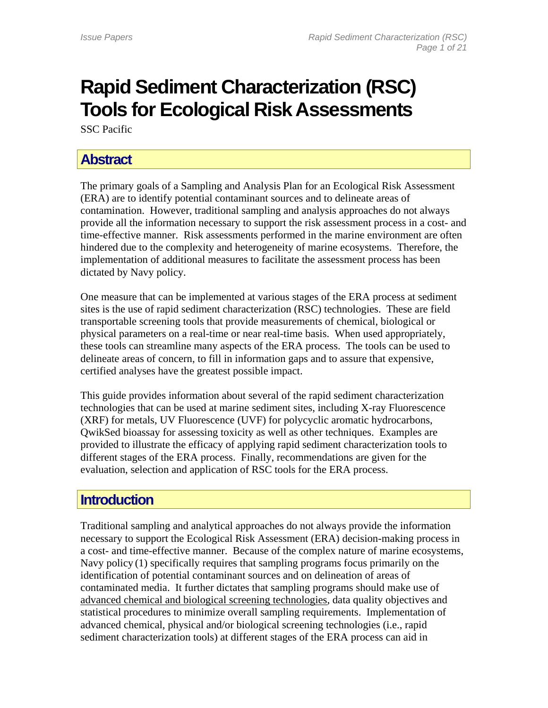# **Rapid Sediment Characterization (RSC) Tools for Ecological Risk Assessments**

SSC Pacific

# **Abstract**

The primary goals of a Sampling and Analysis Plan for an Ecological Risk Assessment (ERA) are to identify potential contaminant sources and to delineate areas of contamination. However, traditional sampling and analysis approaches do not always provide all the information necessary to support the risk assessment process in a cost- and time-effective manner. Risk assessments performed in the marine environment are often hindered due to the complexity and heterogeneity of marine ecosystems. Therefore, the implementation of additional measures to facilitate the assessment process has been dictated by Navy policy.

One measure that can be implemented at various stages of the ERA process at sediment sites is the use of rapid sediment characterization (RSC) technologies. These are field transportable screening tools that provide measurements of chemical, biological or physical parameters on a real-time or near real-time basis. When used appropriately, these tools can streamline many aspects of the ERA process. The tools can be used to delineate areas of concern, to fill in information gaps and to assure that expensive, certified analyses have the greatest possible impact.

This guide provides information about several of the rapid sediment characterization technologies that can be used at marine sediment sites, including X-ray Fluorescence (XRF) for metals, UV Fluorescence (UVF) for polycyclic aromatic hydrocarbons, QwikSed bioassay for assessing toxicity as well as other techniques. Examples are provided to illustrate the efficacy of applying rapid sediment characterization tools to different stages of the ERA process. Finally, recommendations are given for the evaluation, selection and application of RSC tools for the ERA process.

# **Introduction**

Traditional sampling and analytical approaches do not always provide the information necessary to support the Ecological Risk Assessment (ERA) decision-making process in a cost- and time-effective manner. Because of the complex nature of marine ecosystems, Navy policy (1) specifically requires that sampling programs focus primarily on the identification of potential contaminant sources and on delineation of areas of contaminated media. It further dictates that sampling programs should make use of advanced chemical and biological screening technologies, data quality objectives and statistical procedures to minimize overall sampling requirements. Implementation of advanced chemical, physical and/or biological screening technologies (i.e., rapid sediment characterization tools) at different stages of the ERA process can aid in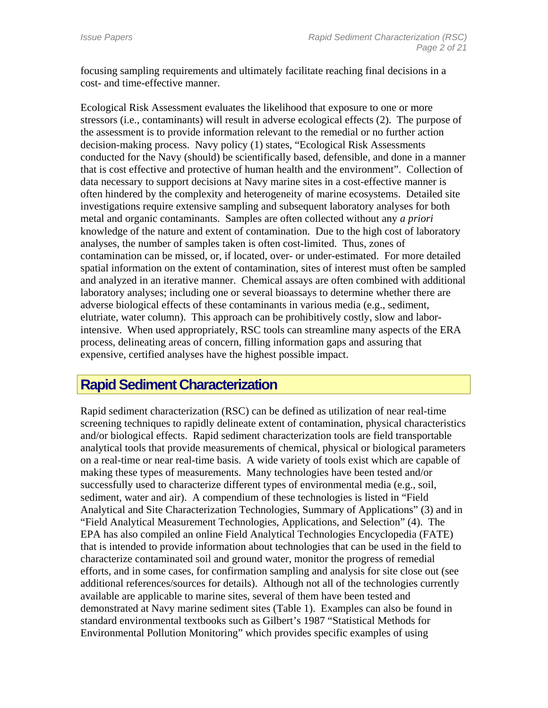focusing sampling requirements and ultimately facilitate reaching final decisions in a cost- and time-effective manner.

Ecological Risk Assessment evaluates the likelihood that exposure to one or more stressors (i.e., contaminants) will result in adverse ecological effects (2). The purpose of the assessment is to provide information relevant to the remedial or no further action decision-making process. Navy policy (1) states, "Ecological Risk Assessments conducted for the Navy (should) be scientifically based, defensible, and done in a manner that is cost effective and protective of human health and the environment". Collection of data necessary to support decisions at Navy marine sites in a cost-effective manner is often hindered by the complexity and heterogeneity of marine ecosystems. Detailed site investigations require extensive sampling and subsequent laboratory analyses for both metal and organic contaminants. Samples are often collected without any *a priori* knowledge of the nature and extent of contamination. Due to the high cost of laboratory analyses, the number of samples taken is often cost-limited. Thus, zones of contamination can be missed, or, if located, over- or under-estimated. For more detailed spatial information on the extent of contamination, sites of interest must often be sampled and analyzed in an iterative manner. Chemical assays are often combined with additional laboratory analyses; including one or several bioassays to determine whether there are adverse biological effects of these contaminants in various media (e.g., sediment, elutriate, water column). This approach can be prohibitively costly, slow and laborintensive. When used appropriately, RSC tools can streamline many aspects of the ERA process, delineating areas of concern, filling information gaps and assuring that expensive, certified analyses have the highest possible impact.

## **Rapid Sediment Characterization**

Rapid sediment characterization (RSC) can be defined as utilization of near real-time screening techniques to rapidly delineate extent of contamination, physical characteristics and/or biological effects. Rapid sediment characterization tools are field transportable analytical tools that provide measurements of chemical, physical or biological parameters on a real-time or near real-time basis. A wide variety of tools exist which are capable of making these types of measurements. Many technologies have been tested and/or successfully used to characterize different types of environmental media (e.g., soil, sediment, water and air). A compendium of these technologies is listed in "Field Analytical and Site Characterization Technologies, Summary of Applications" (3) and in "Field Analytical Measurement Technologies, Applications, and Selection" (4). The EPA has also compiled an online Field Analytical Technologies Encyclopedia (FATE) that is intended to provide information about technologies that can be used in the field to characterize contaminated soil and ground water, monitor the progress of remedial efforts, and in some cases, for confirmation sampling and analysis for site close out (see additional references/sources for details). Although not all of the technologies currently available are applicable to marine sites, several of them have been tested and demonstrated at Navy marine sediment sites (Table 1). Examples can also be found in standard environmental textbooks such as Gilbert's 1987 "Statistical Methods for Environmental Pollution Monitoring" which provides specific examples of using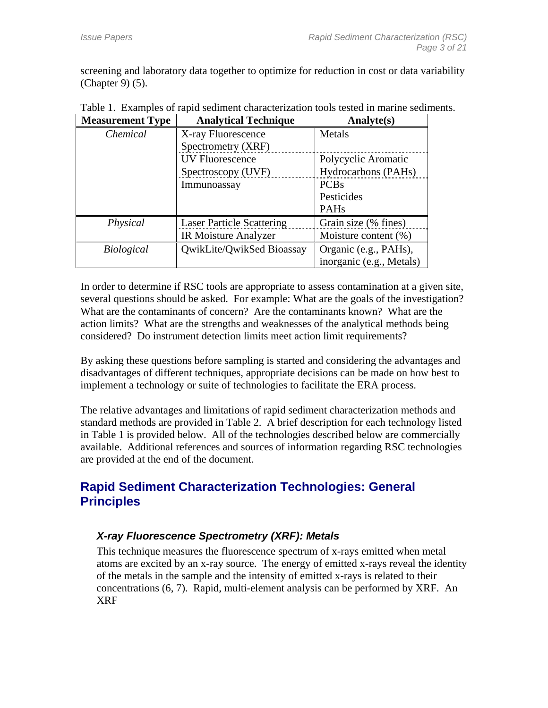screening and laboratory data together to optimize for reduction in cost or data variability (Chapter 9) (5).

| <b>Measurement Type</b> | <b>Analytical Technique</b>      | Analyte(s)               |
|-------------------------|----------------------------------|--------------------------|
| Chemical                | X-ray Fluorescence               | Metals                   |
|                         | Spectrometry (XRF)               |                          |
|                         | <b>UV Fluorescence</b>           | Polycyclic Aromatic      |
|                         | Spectroscopy (UVF)               | Hydrocarbons (PAHs)      |
|                         | Immunoassay                      | <b>PCBs</b>              |
|                         |                                  | Pesticides               |
|                         |                                  | <b>PAHs</b>              |
| Physical                | <b>Laser Particle Scattering</b> | Grain size (% fines)     |
|                         | IR Moisture Analyzer             | Moisture content (%)     |
| <i>Biological</i>       | <b>OwikLite/OwikSed Bioassay</b> | Organic (e.g., PAHs),    |
|                         |                                  | inorganic (e.g., Metals) |

|  |  |  |  |  | Table 1. Examples of rapid sediment characterization tools tested in marine sediments. |  |  |  |  |  |
|--|--|--|--|--|----------------------------------------------------------------------------------------|--|--|--|--|--|
|--|--|--|--|--|----------------------------------------------------------------------------------------|--|--|--|--|--|

In order to determine if RSC tools are appropriate to assess contamination at a given site, several questions should be asked. For example: What are the goals of the investigation? What are the contaminants of concern? Are the contaminants known? What are the action limits? What are the strengths and weaknesses of the analytical methods being considered? Do instrument detection limits meet action limit requirements?

By asking these questions before sampling is started and considering the advantages and disadvantages of different techniques, appropriate decisions can be made on how best to implement a technology or suite of technologies to facilitate the ERA process.

The relative advantages and limitations of rapid sediment characterization methods and standard methods are provided in Table 2. A brief description for each technology listed in Table 1 is provided below. All of the technologies described below are commercially available. Additional references and sources of information regarding RSC technologies are provided at the end of the document.

## **Rapid Sediment Characterization Technologies: General Principles**

## *X-ray Fluorescence Spectrometry (XRF): Metals*

This technique measures the fluorescence spectrum of x-rays emitted when metal atoms are excited by an x-ray source. The energy of emitted x-rays reveal the identity of the metals in the sample and the intensity of emitted x-rays is related to their concentrations (6, 7). Rapid, multi-element analysis can be performed by XRF. An XRF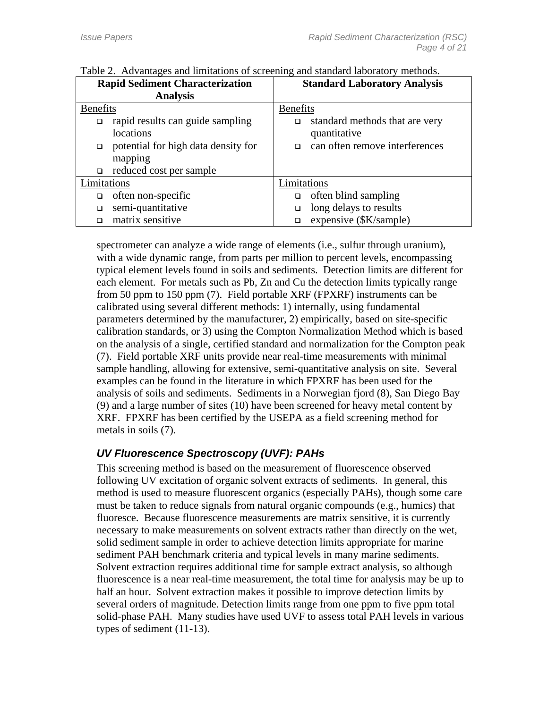| <b>Rapid Sediment Characterization</b> |                                     |                 | <b>Standard Laboratory Analysis</b> |
|----------------------------------------|-------------------------------------|-----------------|-------------------------------------|
|                                        | <b>Analysis</b>                     |                 |                                     |
| <b>Benefits</b>                        |                                     | <b>Benefits</b> |                                     |
| □                                      | rapid results can guide sampling    | ◻               | standard methods that are very      |
|                                        | locations                           |                 | quantitative                        |
| $\Box$                                 | potential for high data density for | $\Box$          | can often remove interferences      |
|                                        | mapping                             |                 |                                     |
| $\Box$                                 | reduced cost per sample             |                 |                                     |
| Limitations                            |                                     | Limitations     |                                     |
| □                                      | often non-specific                  | □               | often blind sampling                |
|                                        | semi-quantitative                   | □               | long delays to results              |
|                                        | matrix sensitive                    |                 | expensive (\$K/sample)              |

Table 2. Advantages and limitations of screening and standard laboratory methods.

spectrometer can analyze a wide range of elements (i.e., sulfur through uranium), with a wide dynamic range, from parts per million to percent levels, encompassing typical element levels found in soils and sediments. Detection limits are different for each element. For metals such as Pb, Zn and Cu the detection limits typically range from 50 ppm to 150 ppm (7). Field portable XRF (FPXRF) instruments can be calibrated using several different methods: 1) internally, using fundamental parameters determined by the manufacturer, 2) empirically, based on site-specific calibration standards, or 3) using the Compton Normalization Method which is based on the analysis of a single, certified standard and normalization for the Compton peak (7). Field portable XRF units provide near real-time measurements with minimal sample handling, allowing for extensive, semi-quantitative analysis on site. Several examples can be found in the literature in which FPXRF has been used for the analysis of soils and sediments. Sediments in a Norwegian fjord (8), San Diego Bay (9) and a large number of sites (10) have been screened for heavy metal content by XRF. FPXRF has been certified by the USEPA as a field screening method for metals in soils (7).

## *UV Fluorescence Spectroscopy (UVF): PAHs*

This screening method is based on the measurement of fluorescence observed following UV excitation of organic solvent extracts of sediments. In general, this method is used to measure fluorescent organics (especially PAHs), though some care must be taken to reduce signals from natural organic compounds (e.g., humics) that fluoresce. Because fluorescence measurements are matrix sensitive, it is currently necessary to make measurements on solvent extracts rather than directly on the wet, solid sediment sample in order to achieve detection limits appropriate for marine sediment PAH benchmark criteria and typical levels in many marine sediments. Solvent extraction requires additional time for sample extract analysis, so although fluorescence is a near real-time measurement, the total time for analysis may be up to half an hour. Solvent extraction makes it possible to improve detection limits by several orders of magnitude. Detection limits range from one ppm to five ppm total solid-phase PAH. Many studies have used UVF to assess total PAH levels in various types of sediment (11-13).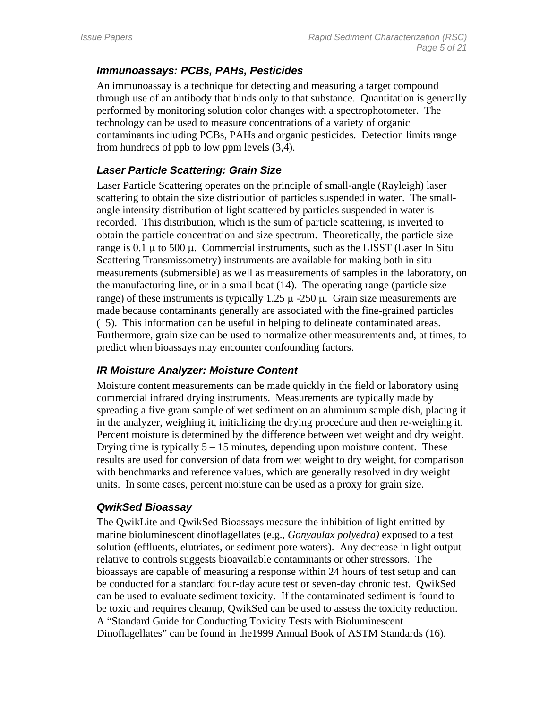## *Immunoassays: PCBs, PAHs, Pesticides*

An immunoassay is a technique for detecting and measuring a target compound through use of an antibody that binds only to that substance. Quantitation is generally performed by monitoring solution color changes with a spectrophotometer. The technology can be used to measure concentrations of a variety of organic contaminants including PCBs, PAHs and organic pesticides. Detection limits range from hundreds of ppb to low ppm levels (3,4).

#### *Laser Particle Scattering: Grain Size*

Laser Particle Scattering operates on the principle of small-angle (Rayleigh) laser scattering to obtain the size distribution of particles suspended in water. The smallangle intensity distribution of light scattered by particles suspended in water is recorded. This distribution, which is the sum of particle scattering, is inverted to obtain the particle concentration and size spectrum. Theoretically, the particle size range is  $0.1 \mu$  to 500  $\mu$ . Commercial instruments, such as the LISST (Laser In Situ Scattering Transmissometry) instruments are available for making both in situ measurements (submersible) as well as measurements of samples in the laboratory, on the manufacturing line, or in a small boat (14). The operating range (particle size range) of these instruments is typically 1.25  $\mu$  -250  $\mu$ . Grain size measurements are made because contaminants generally are associated with the fine-grained particles (15). This information can be useful in helping to delineate contaminated areas. Furthermore, grain size can be used to normalize other measurements and, at times, to predict when bioassays may encounter confounding factors.

#### *IR Moisture Analyzer: Moisture Content*

Moisture content measurements can be made quickly in the field or laboratory using commercial infrared drying instruments. Measurements are typically made by spreading a five gram sample of wet sediment on an aluminum sample dish, placing it in the analyzer, weighing it, initializing the drying procedure and then re-weighing it. Percent moisture is determined by the difference between wet weight and dry weight. Drying time is typically  $5 - 15$  minutes, depending upon moisture content. These results are used for conversion of data from wet weight to dry weight, for comparison with benchmarks and reference values, which are generally resolved in dry weight units. In some cases, percent moisture can be used as a proxy for grain size.

#### *QwikSed Bioassay*

The QwikLite and QwikSed Bioassays measure the inhibition of light emitted by marine bioluminescent dinoflagellates (e.g., *Gonyaulax polyedra)* exposed to a test solution (effluents, elutriates, or sediment pore waters). Any decrease in light output relative to controls suggests bioavailable contaminants or other stressors. The bioassays are capable of measuring a response within 24 hours of test setup and can be conducted for a standard four-day acute test or seven-day chronic test. QwikSed can be used to evaluate sediment toxicity. If the contaminated sediment is found to be toxic and requires cleanup, QwikSed can be used to assess the toxicity reduction. A "Standard Guide for Conducting Toxicity Tests with Bioluminescent Dinoflagellates" can be found in the1999 Annual Book of ASTM Standards (16).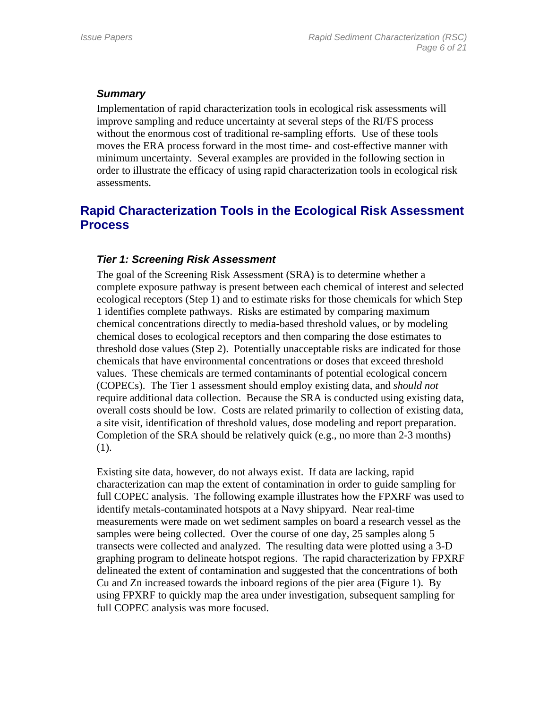### *Summary*

Implementation of rapid characterization tools in ecological risk assessments will improve sampling and reduce uncertainty at several steps of the RI/FS process without the enormous cost of traditional re-sampling efforts. Use of these tools moves the ERA process forward in the most time- and cost-effective manner with minimum uncertainty. Several examples are provided in the following section in order to illustrate the efficacy of using rapid characterization tools in ecological risk assessments.

# **Rapid Characterization Tools in the Ecological Risk Assessment Process**

#### *Tier 1: Screening Risk Assessment*

The goal of the Screening Risk Assessment (SRA) is to determine whether a complete exposure pathway is present between each chemical of interest and selected ecological receptors (Step 1) and to estimate risks for those chemicals for which Step 1 identifies complete pathways. Risks are estimated by comparing maximum chemical concentrations directly to media-based threshold values, or by modeling chemical doses to ecological receptors and then comparing the dose estimates to threshold dose values (Step 2). Potentially unacceptable risks are indicated for those chemicals that have environmental concentrations or doses that exceed threshold values. These chemicals are termed contaminants of potential ecological concern (COPECs). The Tier 1 assessment should employ existing data, and *should not* require additional data collection. Because the SRA is conducted using existing data, overall costs should be low. Costs are related primarily to collection of existing data, a site visit, identification of threshold values, dose modeling and report preparation. Completion of the SRA should be relatively quick (e.g., no more than 2-3 months) (1).

Existing site data, however, do not always exist. If data are lacking, rapid characterization can map the extent of contamination in order to guide sampling for full COPEC analysis. The following example illustrates how the FPXRF was used to identify metals-contaminated hotspots at a Navy shipyard. Near real-time measurements were made on wet sediment samples on board a research vessel as the samples were being collected. Over the course of one day, 25 samples along 5 transects were collected and analyzed. The resulting data were plotted using a 3-D graphing program to delineate hotspot regions. The rapid characterization by FPXRF delineated the extent of contamination and suggested that the concentrations of both Cu and Zn increased towards the inboard regions of the pier area (Figure 1). By using FPXRF to quickly map the area under investigation, subsequent sampling for full COPEC analysis was more focused.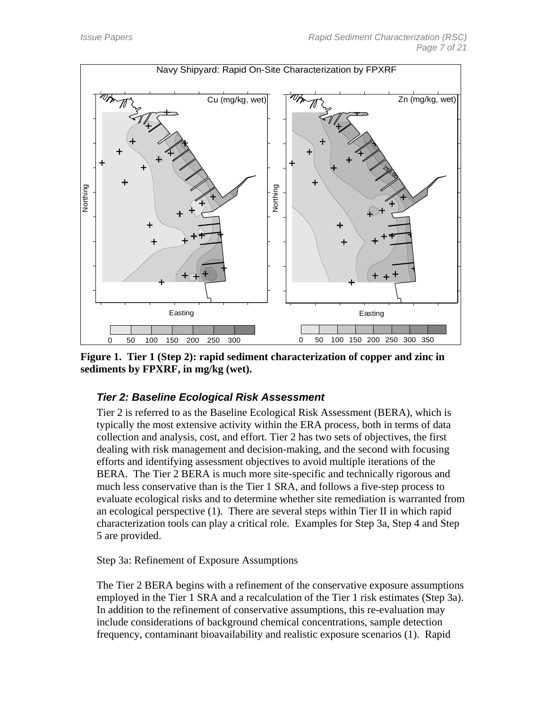

**Figure 1. Tier 1 (Step 2): rapid sediment characterization of copper and zinc in sediments by FPXRF, in mg/kg (wet).** 

## *Tier 2: Baseline Ecological Risk Assessment*

Tier 2 is referred to as the Baseline Ecological Risk Assessment (BERA), which is typically the most extensive activity within the ERA process, both in terms of data collection and analysis, cost, and effort. Tier 2 has two sets of objectives, the first dealing with risk management and decision-making, and the second with focusing efforts and identifying assessment objectives to avoid multiple iterations of the BERA. The Tier 2 BERA is much more site-specific and technically rigorous and much less conservative than is the Tier 1 SRA, and follows a five-step process to evaluate ecological risks and to determine whether site remediation is warranted from an ecological perspective (1). There are several steps within Tier II in which rapid characterization tools can play a critical role. Examples for Step 3a, Step 4 and Step 5 are provided.

Step 3a: Refinement of Exposure Assumptions

The Tier 2 BERA begins with a refinement of the conservative exposure assumptions employed in the Tier 1 SRA and a recalculation of the Tier 1 risk estimates (Step 3a). In addition to the refinement of conservative assumptions, this re-evaluation may include considerations of background chemical concentrations, sample detection frequency, contaminant bioavailability and realistic exposure scenarios (1). Rapid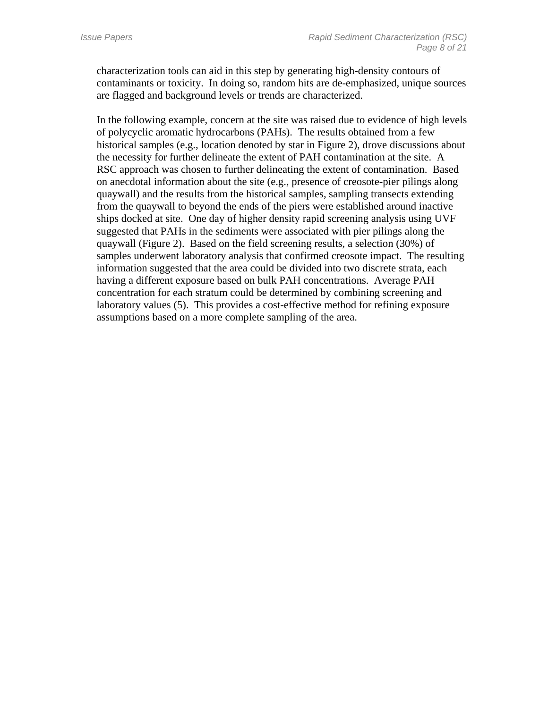characterization tools can aid in this step by generating high-density contours of contaminants or toxicity. In doing so, random hits are de-emphasized, unique sources are flagged and background levels or trends are characterized.

In the following example, concern at the site was raised due to evidence of high levels of polycyclic aromatic hydrocarbons (PAHs). The results obtained from a few historical samples (e.g., location denoted by star in Figure 2), drove discussions about the necessity for further delineate the extent of PAH contamination at the site. A RSC approach was chosen to further delineating the extent of contamination. Based on anecdotal information about the site (e.g., presence of creosote-pier pilings along quaywall) and the results from the historical samples, sampling transects extending from the quaywall to beyond the ends of the piers were established around inactive ships docked at site. One day of higher density rapid screening analysis using UVF suggested that PAHs in the sediments were associated with pier pilings along the quaywall (Figure 2). Based on the field screening results, a selection (30%) of samples underwent laboratory analysis that confirmed creosote impact. The resulting information suggested that the area could be divided into two discrete strata, each having a different exposure based on bulk PAH concentrations. Average PAH concentration for each stratum could be determined by combining screening and laboratory values (5). This provides a cost-effective method for refining exposure assumptions based on a more complete sampling of the area.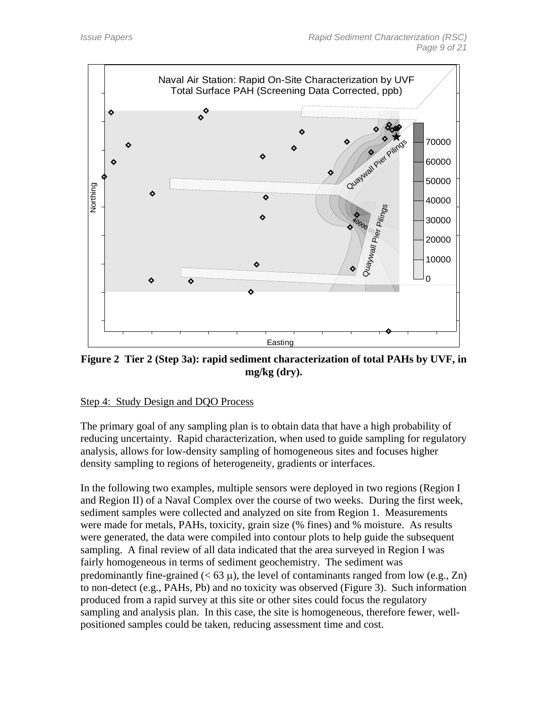

**Figure 2 Tier 2 (Step 3a): rapid sediment characterization of total PAHs by UVF, in mg/kg (dry).** 

## Step 4: Study Design and DQO Process

The primary goal of any sampling plan is to obtain data that have a high probability of reducing uncertainty. Rapid characterization, when used to guide sampling for regulatory analysis, allows for low-density sampling of homogeneous sites and focuses higher density sampling to regions of heterogeneity, gradients or interfaces.

In the following two examples, multiple sensors were deployed in two regions (Region I and Region II) of a Naval Complex over the course of two weeks. During the first week, sediment samples were collected and analyzed on site from Region 1. Measurements were made for metals, PAHs, toxicity, grain size (% fines) and % moisture. As results were generated, the data were compiled into contour plots to help guide the subsequent sampling. A final review of all data indicated that the area surveyed in Region I was fairly homogeneous in terms of sediment geochemistry. The sediment was predominantly fine-grained  $(< 63 \mu)$ , the level of contaminants ranged from low (e.g., Zn) to non-detect (e.g., PAHs, Pb) and no toxicity was observed (Figure 3). Such information produced from a rapid survey at this site or other sites could focus the regulatory sampling and analysis plan. In this case, the site is homogeneous, therefore fewer, wellpositioned samples could be taken, reducing assessment time and cost.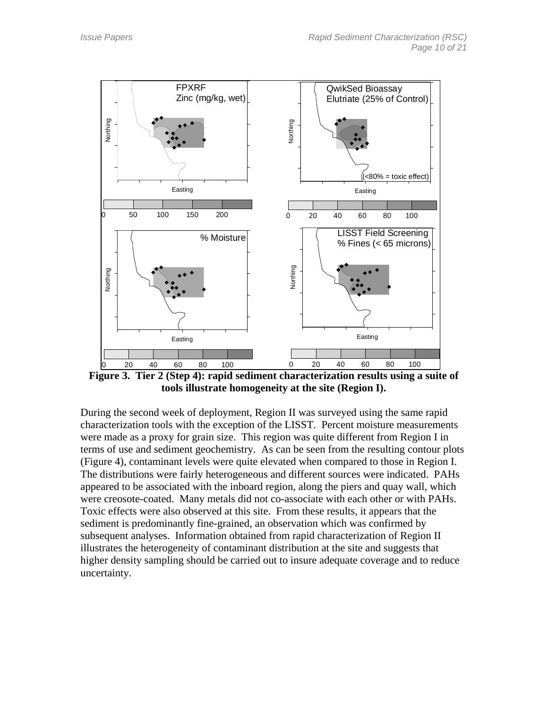

**Figure 3. Tier 2 (Step 4): rapid sediment characterization results using a suite of tools illustrate homogeneity at the site (Region I).** 

During the second week of deployment, Region II was surveyed using the same rapid characterization tools with the exception of the LISST. Percent moisture measurements were made as a proxy for grain size. This region was quite different from Region I in terms of use and sediment geochemistry. As can be seen from the resulting contour plots (Figure 4), contaminant levels were quite elevated when compared to those in Region I. The distributions were fairly heterogeneous and different sources were indicated. PAHs appeared to be associated with the inboard region, along the piers and quay wall, which were creosote-coated. Many metals did not co-associate with each other or with PAHs. Toxic effects were also observed at this site. From these results, it appears that the sediment is predominantly fine-grained, an observation which was confirmed by subsequent analyses. Information obtained from rapid characterization of Region II illustrates the heterogeneity of contaminant distribution at the site and suggests that higher density sampling should be carried out to insure adequate coverage and to reduce uncertainty.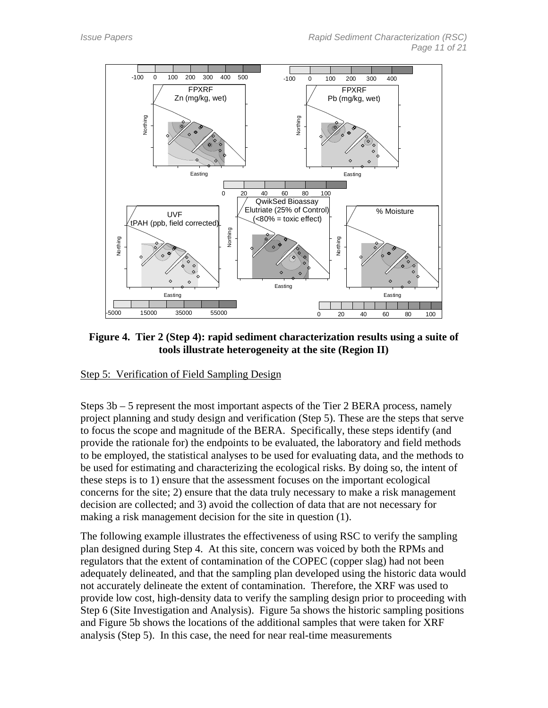

**Figure 4. Tier 2 (Step 4): rapid sediment characterization results using a suite of tools illustrate heterogeneity at the site (Region II)** 

#### Step 5: Verification of Field Sampling Design

Steps 3b – 5 represent the most important aspects of the Tier 2 BERA process, namely project planning and study design and verification (Step 5). These are the steps that serve to focus the scope and magnitude of the BERA. Specifically, these steps identify (and provide the rationale for) the endpoints to be evaluated, the laboratory and field methods to be employed, the statistical analyses to be used for evaluating data, and the methods to be used for estimating and characterizing the ecological risks. By doing so, the intent of these steps is to 1) ensure that the assessment focuses on the important ecological concerns for the site; 2) ensure that the data truly necessary to make a risk management decision are collected; and 3) avoid the collection of data that are not necessary for making a risk management decision for the site in question (1).

The following example illustrates the effectiveness of using RSC to verify the sampling plan designed during Step 4. At this site, concern was voiced by both the RPMs and regulators that the extent of contamination of the COPEC (copper slag) had not been adequately delineated, and that the sampling plan developed using the historic data would not accurately delineate the extent of contamination. Therefore, the XRF was used to provide low cost, high-density data to verify the sampling design prior to proceeding with Step 6 (Site Investigation and Analysis). Figure 5a shows the historic sampling positions and Figure 5b shows the locations of the additional samples that were taken for XRF analysis (Step 5). In this case, the need for near real-time measurements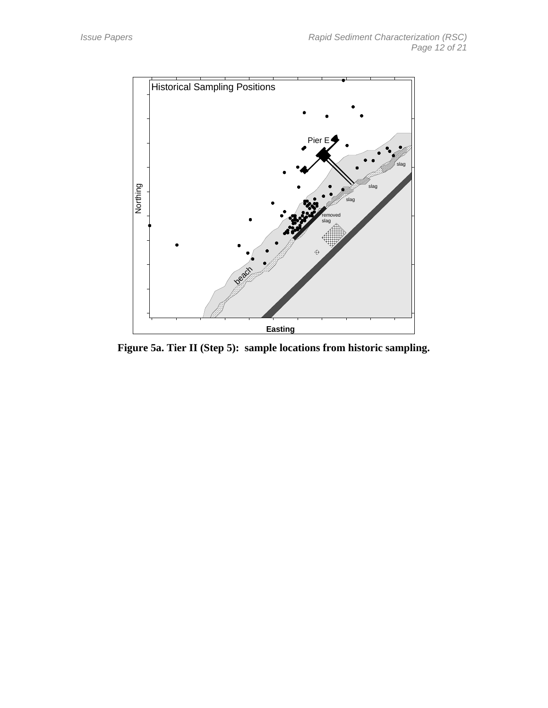

**Figure 5a. Tier II (Step 5): sample locations from historic sampling.**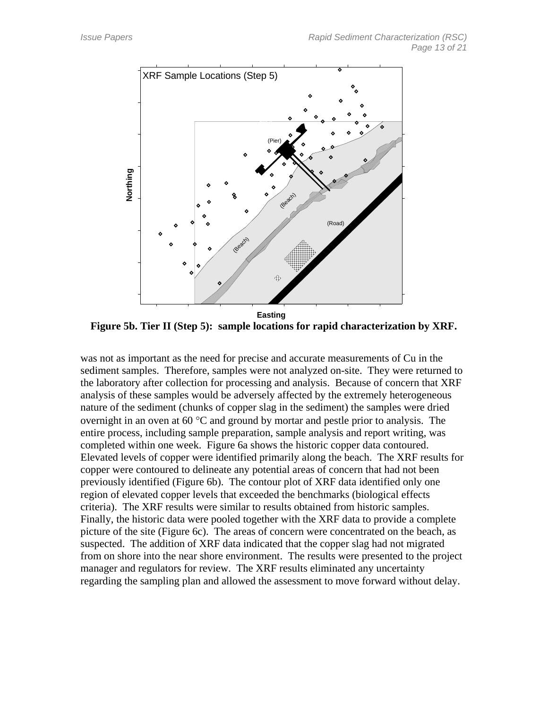

**Figure 5b. Tier II (Step 5): sample locations for rapid characterization by XRF.** 

was not as important as the need for precise and accurate measurements of Cu in the sediment samples. Therefore, samples were not analyzed on-site. They were returned to the laboratory after collection for processing and analysis. Because of concern that XRF analysis of these samples would be adversely affected by the extremely heterogeneous nature of the sediment (chunks of copper slag in the sediment) the samples were dried overnight in an oven at 60  $\degree$ C and ground by mortar and pestle prior to analysis. The entire process, including sample preparation, sample analysis and report writing, was completed within one week. Figure 6a shows the historic copper data contoured. Elevated levels of copper were identified primarily along the beach. The XRF results for copper were contoured to delineate any potential areas of concern that had not been previously identified (Figure 6b). The contour plot of XRF data identified only one region of elevated copper levels that exceeded the benchmarks (biological effects criteria). The XRF results were similar to results obtained from historic samples. Finally, the historic data were pooled together with the XRF data to provide a complete picture of the site (Figure 6c). The areas of concern were concentrated on the beach, as suspected. The addition of XRF data indicated that the copper slag had not migrated from on shore into the near shore environment. The results were presented to the project manager and regulators for review. The XRF results eliminated any uncertainty regarding the sampling plan and allowed the assessment to move forward without delay.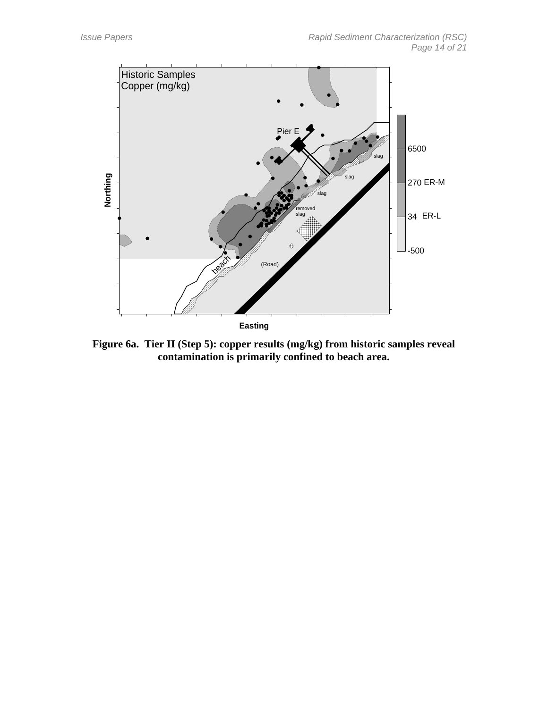

**Figure 6a. Tier II (Step 5): copper results (mg/kg) from historic samples reveal contamination is primarily confined to beach area.**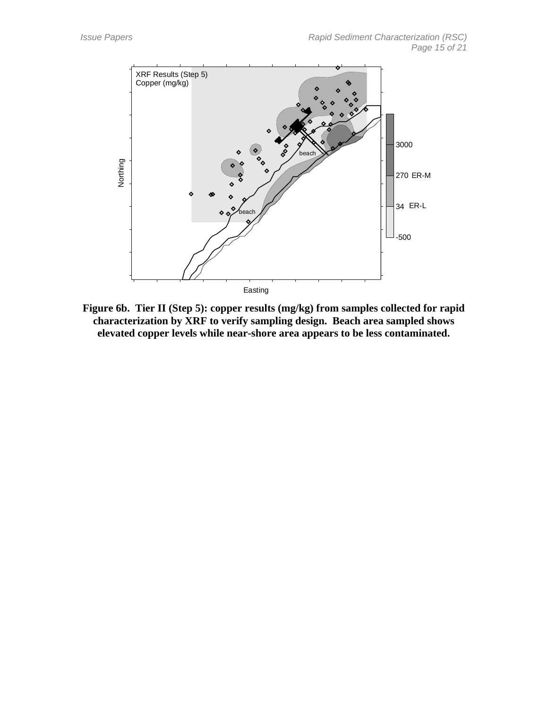

**Figure 6b. Tier II (Step 5): copper results (mg/kg) from samples collected for rapid characterization by XRF to verify sampling design. Beach area sampled shows elevated copper levels while near-shore area appears to be less contaminated.**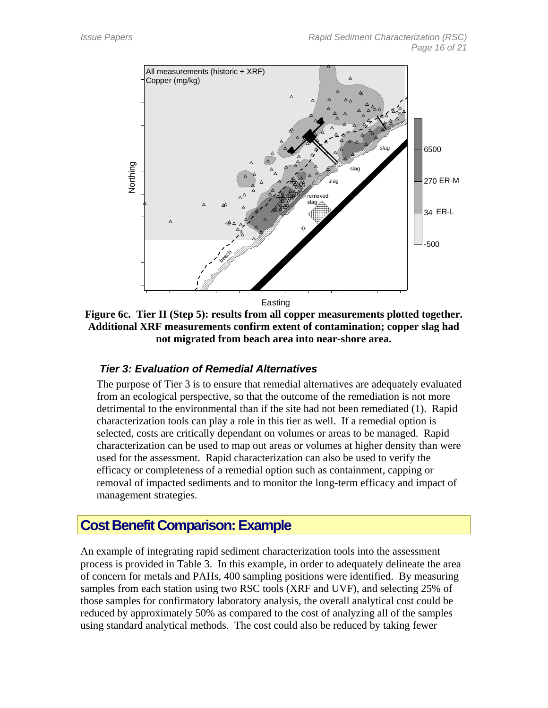

**Figure 6c. Tier II (Step 5): results from all copper measurements plotted together. Additional XRF measurements confirm extent of contamination; copper slag had not migrated from beach area into near-shore area.** 

## *Tier 3: Evaluation of Remedial Alternatives*

The purpose of Tier 3 is to ensure that remedial alternatives are adequately evaluated from an ecological perspective, so that the outcome of the remediation is not more detrimental to the environmental than if the site had not been remediated (1). Rapid characterization tools can play a role in this tier as well. If a remedial option is selected, costs are critically dependant on volumes or areas to be managed. Rapid characterization can be used to map out areas or volumes at higher density than were used for the assessment. Rapid characterization can also be used to verify the efficacy or completeness of a remedial option such as containment, capping or removal of impacted sediments and to monitor the long-term efficacy and impact of management strategies.

# **Cost Benefit Comparison: Example**

An example of integrating rapid sediment characterization tools into the assessment process is provided in Table 3. In this example, in order to adequately delineate the area of concern for metals and PAHs, 400 sampling positions were identified. By measuring samples from each station using two RSC tools (XRF and UVF), and selecting 25% of those samples for confirmatory laboratory analysis, the overall analytical cost could be reduced by approximately 50% as compared to the cost of analyzing all of the samples using standard analytical methods. The cost could also be reduced by taking fewer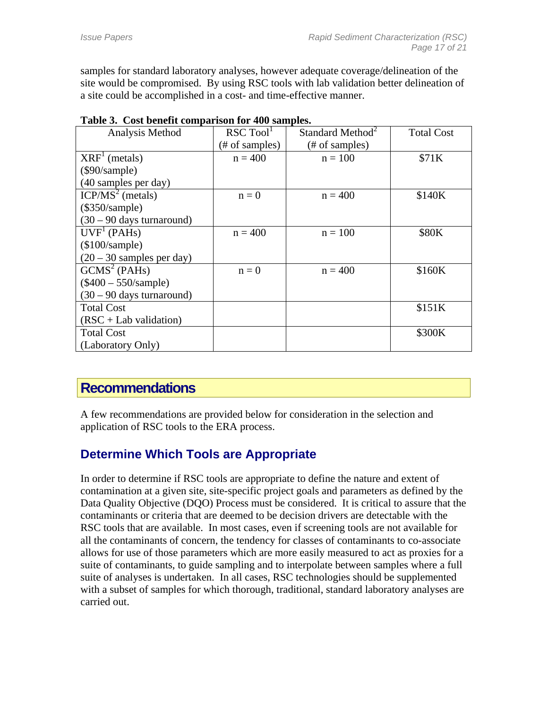samples for standard laboratory analyses, however adequate coverage/delineation of the site would be compromised. By using RSC tools with lab validation better delineation of a site could be accomplished in a cost- and time-effective manner.

| Analysis Method              | $RSC$ $Tool1$  | Standard Method <sup>2</sup> | <b>Total Cost</b> |
|------------------------------|----------------|------------------------------|-------------------|
|                              | (# of samples) | $(\# \text{ of samples})$    |                   |
| $XRF1$ (metals)              | $n = 400$      | $n = 100$                    | \$71K             |
| $(\$90/sample)$              |                |                              |                   |
| (40 samples per day)         |                |                              |                   |
| $ICP/MS2$ (metals)           | $n = 0$        | $n = 400$                    | \$140K            |
| $(\$350/sample)$             |                |                              |                   |
| $(30 - 90)$ days turnaround) |                |                              |                   |
| UVF <sup>1</sup> (PAHs)      | $n = 400$      | $n = 100$                    | <b>\$80K</b>      |
| $(\$100/sample)$             |                |                              |                   |
| $(20 - 30$ samples per day)  |                |                              |                   |
| GCMS <sup>2</sup> (PAHs)     | $n = 0$        | $n = 400$                    | \$160K            |
| $(\$400 - 550/sample)$       |                |                              |                   |
| $(30 - 90$ days turnaround)  |                |                              |                   |
| <b>Total Cost</b>            |                |                              | \$151K            |
| $(RSC + Lab validation)$     |                |                              |                   |
| <b>Total Cost</b>            |                |                              | \$300K            |
| (Laboratory Only)            |                |                              |                   |

| Table 3. Cost benefit comparison for 400 samples. |  |  |
|---------------------------------------------------|--|--|
|                                                   |  |  |

## **Recommendations**

A few recommendations are provided below for consideration in the selection and application of RSC tools to the ERA process.

# **Determine Which Tools are Appropriate**

In order to determine if RSC tools are appropriate to define the nature and extent of contamination at a given site, site-specific project goals and parameters as defined by the Data Quality Objective (DQO) Process must be considered. It is critical to assure that the contaminants or criteria that are deemed to be decision drivers are detectable with the RSC tools that are available. In most cases, even if screening tools are not available for all the contaminants of concern, the tendency for classes of contaminants to co-associate allows for use of those parameters which are more easily measured to act as proxies for a suite of contaminants, to guide sampling and to interpolate between samples where a full suite of analyses is undertaken. In all cases, RSC technologies should be supplemented with a subset of samples for which thorough, traditional, standard laboratory analyses are carried out.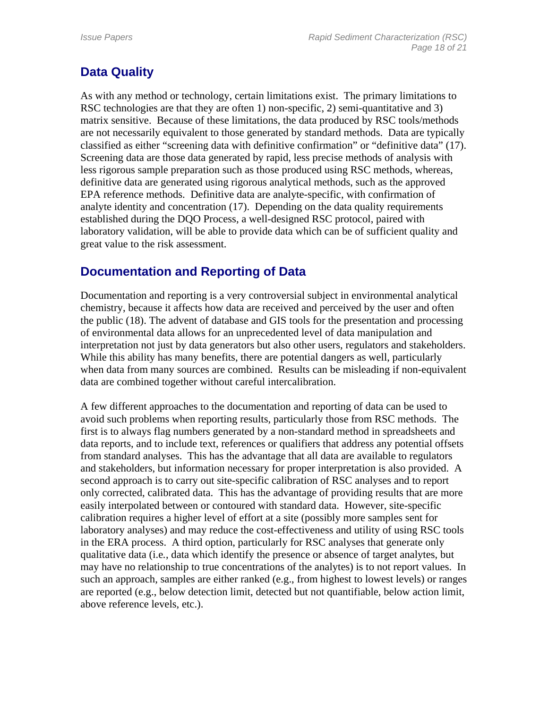# **Data Quality**

As with any method or technology, certain limitations exist. The primary limitations to RSC technologies are that they are often 1) non-specific, 2) semi-quantitative and 3) matrix sensitive. Because of these limitations, the data produced by RSC tools/methods are not necessarily equivalent to those generated by standard methods. Data are typically classified as either "screening data with definitive confirmation" or "definitive data" (17). Screening data are those data generated by rapid, less precise methods of analysis with less rigorous sample preparation such as those produced using RSC methods, whereas, definitive data are generated using rigorous analytical methods, such as the approved EPA reference methods. Definitive data are analyte-specific, with confirmation of analyte identity and concentration (17). Depending on the data quality requirements established during the DQO Process, a well-designed RSC protocol, paired with laboratory validation, will be able to provide data which can be of sufficient quality and great value to the risk assessment.

## **Documentation and Reporting of Data**

Documentation and reporting is a very controversial subject in environmental analytical chemistry, because it affects how data are received and perceived by the user and often the public (18). The advent of database and GIS tools for the presentation and processing of environmental data allows for an unprecedented level of data manipulation and interpretation not just by data generators but also other users, regulators and stakeholders. While this ability has many benefits, there are potential dangers as well, particularly when data from many sources are combined. Results can be misleading if non-equivalent data are combined together without careful intercalibration.

A few different approaches to the documentation and reporting of data can be used to avoid such problems when reporting results, particularly those from RSC methods. The first is to always flag numbers generated by a non-standard method in spreadsheets and data reports, and to include text, references or qualifiers that address any potential offsets from standard analyses. This has the advantage that all data are available to regulators and stakeholders, but information necessary for proper interpretation is also provided. A second approach is to carry out site-specific calibration of RSC analyses and to report only corrected, calibrated data. This has the advantage of providing results that are more easily interpolated between or contoured with standard data. However, site-specific calibration requires a higher level of effort at a site (possibly more samples sent for laboratory analyses) and may reduce the cost-effectiveness and utility of using RSC tools in the ERA process. A third option, particularly for RSC analyses that generate only qualitative data (i.e*.*, data which identify the presence or absence of target analytes, but may have no relationship to true concentrations of the analytes) is to not report values. In such an approach, samples are either ranked (e.g., from highest to lowest levels) or ranges are reported (e.g., below detection limit, detected but not quantifiable, below action limit, above reference levels, etc.).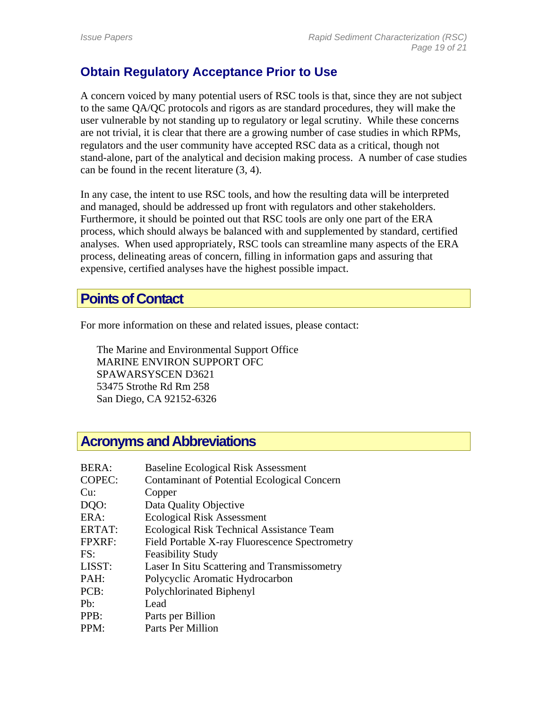# **Obtain Regulatory Acceptance Prior to Use**

A concern voiced by many potential users of RSC tools is that, since they are not subject to the same QA/QC protocols and rigors as are standard procedures, they will make the user vulnerable by not standing up to regulatory or legal scrutiny. While these concerns are not trivial, it is clear that there are a growing number of case studies in which RPMs, regulators and the user community have accepted RSC data as a critical, though not stand-alone, part of the analytical and decision making process. A number of case studies can be found in the recent literature (3, 4).

In any case, the intent to use RSC tools, and how the resulting data will be interpreted and managed, should be addressed up front with regulators and other stakeholders. Furthermore, it should be pointed out that RSC tools are only one part of the ERA process, which should always be balanced with and supplemented by standard, certified analyses. When used appropriately, RSC tools can streamline many aspects of the ERA process, delineating areas of concern, filling in information gaps and assuring that expensive, certified analyses have the highest possible impact.

## **Points of Contact**

For more information on these and related issues, please contact:

The Marine and Environmental Support Office MARINE ENVIRON SUPPORT OFC SPAWARSYSCEN D3621 53475 Strothe Rd Rm 258 San Diego, CA 92152-6326

## **Acronyms and Abbreviations**

| <b>BERA:</b>  | <b>Baseline Ecological Risk Assessment</b>         |
|---------------|----------------------------------------------------|
| COPEC:        | <b>Contaminant of Potential Ecological Concern</b> |
| $Cu$ :        | Copper                                             |
| DQO:          | Data Quality Objective                             |
| ERA:          | <b>Ecological Risk Assessment</b>                  |
| <b>ERTAT:</b> | Ecological Risk Technical Assistance Team          |
| <b>FPXRF:</b> | Field Portable X-ray Fluorescence Spectrometry     |
| FS:           | <b>Feasibility Study</b>                           |
| LISST:        | Laser In Situ Scattering and Transmissometry       |
| PAH:          | Polycyclic Aromatic Hydrocarbon                    |
| PCB:          | Polychlorinated Biphenyl                           |
| Ph:           | Lead                                               |
| PPB:          | Parts per Billion                                  |
| PPM:          | Parts Per Million                                  |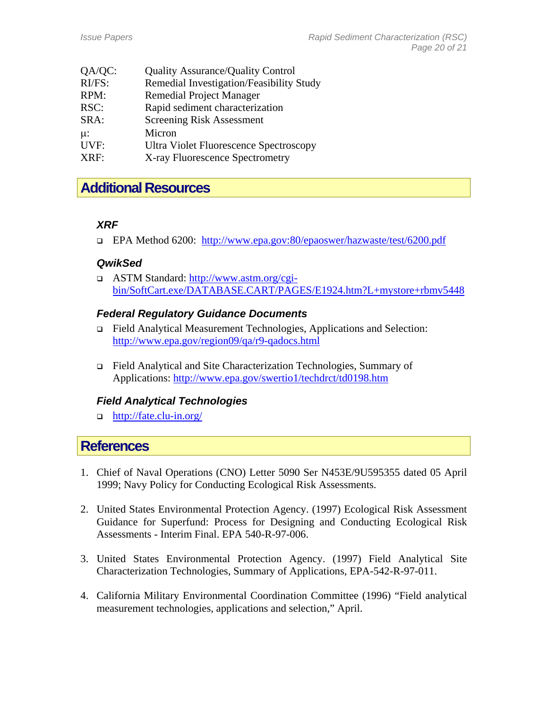| QA/QC:  | <b>Quality Assurance/Quality Control</b> |
|---------|------------------------------------------|
| RI/FS:  | Remedial Investigation/Feasibility Study |
| RPM:    | <b>Remedial Project Manager</b>          |
| RSC:    | Rapid sediment characterization          |
| SRA:    | <b>Screening Risk Assessment</b>         |
| $\mu$ : | Micron                                   |
| UVF:    | Ultra Violet Fluorescence Spectroscopy   |
| XRF:    | X-ray Fluorescence Spectrometry          |
|         |                                          |

# **Additional Resources**

## *XRF*

EPA Method 6200: http://www.epa.gov:80/epaoswer/hazwaste/test/6200.pdf

#### *QwikSed*

 ASTM Standard: http://www.astm.org/cgibin/SoftCart.exe/DATABASE.CART/PAGES/E1924.htm?L+mystore+rbmv5448

#### *Federal Regulatory Guidance Documents*

- Field Analytical Measurement Technologies, Applications and Selection: http://www.epa.gov/region09/qa/r9-qadocs.html
- Field Analytical and Site Characterization Technologies, Summary of Applications: http://www.epa.gov/swertio1/techdrct/td0198.htm

## *Field Analytical Technologies*

□ http://fate.clu-in.org/

## **References**

- 1. Chief of Naval Operations (CNO) Letter 5090 Ser N453E/9U595355 dated 05 April 1999; Navy Policy for Conducting Ecological Risk Assessments.
- 2. United States Environmental Protection Agency. (1997) Ecological Risk Assessment Guidance for Superfund: Process for Designing and Conducting Ecological Risk Assessments - Interim Final. EPA 540-R-97-006.
- 3. United States Environmental Protection Agency. (1997) Field Analytical Site Characterization Technologies, Summary of Applications, EPA-542-R-97-011.
- 4. California Military Environmental Coordination Committee (1996) "Field analytical measurement technologies, applications and selection," April.